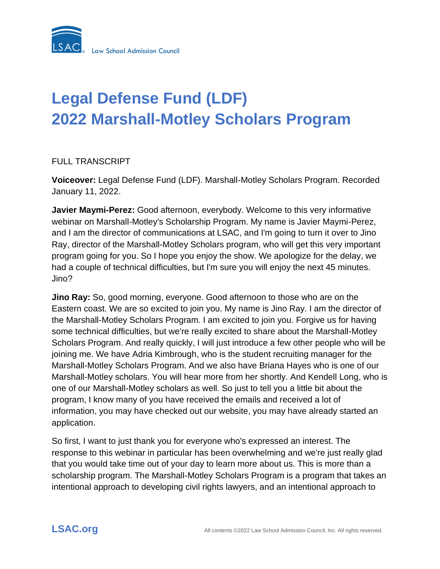

# **Legal Defense Fund (LDF) 2022 Marshall-Motley Scholars Program**

## FULL TRANSCRIPT

**Voiceover:** Legal Defense Fund (LDF). Marshall-Motley Scholars Program. Recorded January 11, 2022.

**Javier Maymi-Perez:** Good afternoon, everybody. Welcome to this very informative webinar on Marshall-Motley's Scholarship Program. My name is Javier Maymi-Perez, and I am the director of communications at LSAC, and I'm going to turn it over to Jino Ray, director of the Marshall-Motley Scholars program, who will get this very important program going for you. So I hope you enjoy the show. We apologize for the delay, we had a couple of technical difficulties, but I'm sure you will enjoy the next 45 minutes. Jino?

**Jino Ray:** So, good morning, everyone. Good afternoon to those who are on the Eastern coast. We are so excited to join you. My name is Jino Ray. I am the director of the Marshall-Motley Scholars Program. I am excited to join you. Forgive us for having some technical difficulties, but we're really excited to share about the Marshall-Motley Scholars Program. And really quickly, I will just introduce a few other people who will be joining me. We have Adria Kimbrough, who is the student recruiting manager for the Marshall-Motley Scholars Program. And we also have Briana Hayes who is one of our Marshall-Motley scholars. You will hear more from her shortly. And Kendell Long, who is one of our Marshall-Motley scholars as well. So just to tell you a little bit about the program, I know many of you have received the emails and received a lot of information, you may have checked out our website, you may have already started an application.

So first, I want to just thank you for everyone who's expressed an interest. The response to this webinar in particular has been overwhelming and we're just really glad that you would take time out of your day to learn more about us. This is more than a scholarship program. The Marshall-Motley Scholars Program is a program that takes an intentional approach to developing civil rights lawyers, and an intentional approach to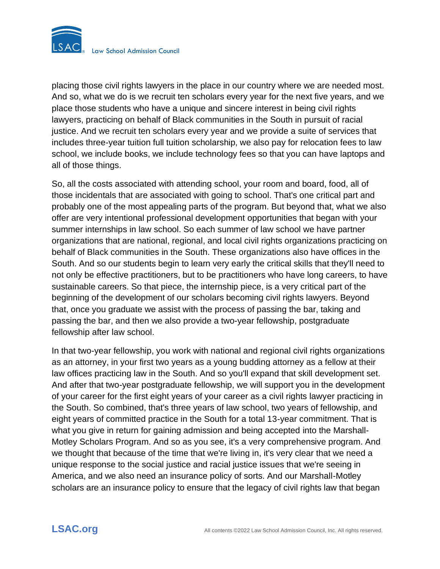

placing those civil rights lawyers in the place in our country where we are needed most. And so, what we do is we recruit ten scholars every year for the next five years, and we place those students who have a unique and sincere interest in being civil rights lawyers, practicing on behalf of Black communities in the South in pursuit of racial justice. And we recruit ten scholars every year and we provide a suite of services that includes three-year tuition full tuition scholarship, we also pay for relocation fees to law school, we include books, we include technology fees so that you can have laptops and all of those things.

So, all the costs associated with attending school, your room and board, food, all of those incidentals that are associated with going to school. That's one critical part and probably one of the most appealing parts of the program. But beyond that, what we also offer are very intentional professional development opportunities that began with your summer internships in law school. So each summer of law school we have partner organizations that are national, regional, and local civil rights organizations practicing on behalf of Black communities in the South. These organizations also have offices in the South. And so our students begin to learn very early the critical skills that they'll need to not only be effective practitioners, but to be practitioners who have long careers, to have sustainable careers. So that piece, the internship piece, is a very critical part of the beginning of the development of our scholars becoming civil rights lawyers. Beyond that, once you graduate we assist with the process of passing the bar, taking and passing the bar, and then we also provide a two-year fellowship, postgraduate fellowship after law school.

In that two-year fellowship, you work with national and regional civil rights organizations as an attorney, in your first two years as a young budding attorney as a fellow at their law offices practicing law in the South. And so you'll expand that skill development set. And after that two-year postgraduate fellowship, we will support you in the development of your career for the first eight years of your career as a civil rights lawyer practicing in the South. So combined, that's three years of law school, two years of fellowship, and eight years of committed practice in the South for a total 13-year commitment. That is what you give in return for gaining admission and being accepted into the Marshall-Motley Scholars Program. And so as you see, it's a very comprehensive program. And we thought that because of the time that we're living in, it's very clear that we need a unique response to the social justice and racial justice issues that we're seeing in America, and we also need an insurance policy of sorts. And our Marshall-Motley scholars are an insurance policy to ensure that the legacy of civil rights law that began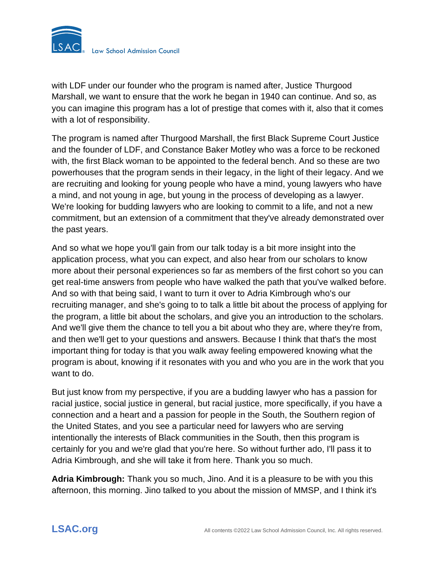

with LDF under our founder who the program is named after, Justice Thurgood Marshall, we want to ensure that the work he began in 1940 can continue. And so, as you can imagine this program has a lot of prestige that comes with it, also that it comes with a lot of responsibility.

The program is named after Thurgood Marshall, the first Black Supreme Court Justice and the founder of LDF, and Constance Baker Motley who was a force to be reckoned with, the first Black woman to be appointed to the federal bench. And so these are two powerhouses that the program sends in their legacy, in the light of their legacy. And we are recruiting and looking for young people who have a mind, young lawyers who have a mind, and not young in age, but young in the process of developing as a lawyer. We're looking for budding lawyers who are looking to commit to a life, and not a new commitment, but an extension of a commitment that they've already demonstrated over the past years.

And so what we hope you'll gain from our talk today is a bit more insight into the application process, what you can expect, and also hear from our scholars to know more about their personal experiences so far as members of the first cohort so you can get real-time answers from people who have walked the path that you've walked before. And so with that being said, I want to turn it over to Adria Kimbrough who's our recruiting manager, and she's going to to talk a little bit about the process of applying for the program, a little bit about the scholars, and give you an introduction to the scholars. And we'll give them the chance to tell you a bit about who they are, where they're from, and then we'll get to your questions and answers. Because I think that that's the most important thing for today is that you walk away feeling empowered knowing what the program is about, knowing if it resonates with you and who you are in the work that you want to do.

But just know from my perspective, if you are a budding lawyer who has a passion for racial justice, social justice in general, but racial justice, more specifically, if you have a connection and a heart and a passion for people in the South, the Southern region of the United States, and you see a particular need for lawyers who are serving intentionally the interests of Black communities in the South, then this program is certainly for you and we're glad that you're here. So without further ado, I'll pass it to Adria Kimbrough, and she will take it from here. Thank you so much.

**Adria Kimbrough:** Thank you so much, Jino. And it is a pleasure to be with you this afternoon, this morning. Jino talked to you about the mission of MMSP, and I think it's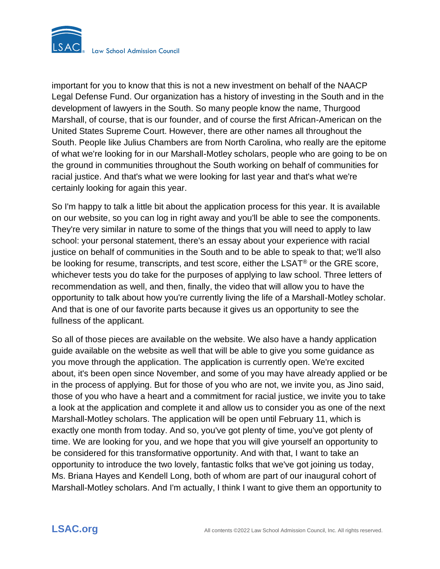

important for you to know that this is not a new investment on behalf of the NAACP Legal Defense Fund. Our organization has a history of investing in the South and in the development of lawyers in the South. So many people know the name, Thurgood Marshall, of course, that is our founder, and of course the first African-American on the United States Supreme Court. However, there are other names all throughout the South. People like Julius Chambers are from North Carolina, who really are the epitome of what we're looking for in our Marshall-Motley scholars, people who are going to be on the ground in communities throughout the South working on behalf of communities for racial justice. And that's what we were looking for last year and that's what we're certainly looking for again this year.

So I'm happy to talk a little bit about the application process for this year. It is available on our website, so you can log in right away and you'll be able to see the components. They're very similar in nature to some of the things that you will need to apply to law school: your personal statement, there's an essay about your experience with racial justice on behalf of communities in the South and to be able to speak to that; we'll also be looking for resume, transcripts, and test score, either the LSAT® or the GRE score, whichever tests you do take for the purposes of applying to law school. Three letters of recommendation as well, and then, finally, the video that will allow you to have the opportunity to talk about how you're currently living the life of a Marshall-Motley scholar. And that is one of our favorite parts because it gives us an opportunity to see the fullness of the applicant.

So all of those pieces are available on the website. We also have a handy application guide available on the website as well that will be able to give you some guidance as you move through the application. The application is currently open. We're excited about, it's been open since November, and some of you may have already applied or be in the process of applying. But for those of you who are not, we invite you, as Jino said, those of you who have a heart and a commitment for racial justice, we invite you to take a look at the application and complete it and allow us to consider you as one of the next Marshall-Motley scholars. The application will be open until February 11, which is exactly one month from today. And so, you've got plenty of time, you've got plenty of time. We are looking for you, and we hope that you will give yourself an opportunity to be considered for this transformative opportunity. And with that, I want to take an opportunity to introduce the two lovely, fantastic folks that we've got joining us today, Ms. Briana Hayes and Kendell Long, both of whom are part of our inaugural cohort of Marshall-Motley scholars. And I'm actually, I think I want to give them an opportunity to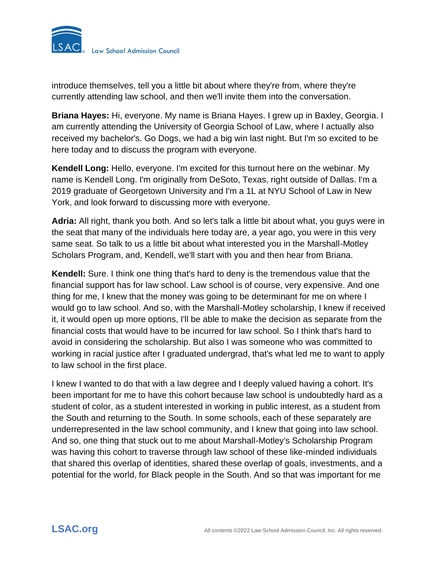

introduce themselves, tell you a little bit about where they're from, where they're currently attending law school, and then we'll invite them into the conversation.

**Briana Hayes:** Hi, everyone. My name is Briana Hayes. I grew up in Baxley, Georgia. I am currently attending the University of Georgia School of Law, where I actually also received my bachelor's. Go Dogs, we had a big win last night. But I'm so excited to be here today and to discuss the program with everyone.

**Kendell Long:** Hello, everyone. I'm excited for this turnout here on the webinar. My name is Kendell Long. I'm originally from DeSoto, Texas, right outside of Dallas. I'm a 2019 graduate of Georgetown University and I'm a 1L at NYU School of Law in New York, and look forward to discussing more with everyone.

**Adria:** All right, thank you both. And so let's talk a little bit about what, you guys were in the seat that many of the individuals here today are, a year ago, you were in this very same seat. So talk to us a little bit about what interested you in the Marshall-Motley Scholars Program, and, Kendell, we'll start with you and then hear from Briana.

**Kendell:** Sure. I think one thing that's hard to deny is the tremendous value that the financial support has for law school. Law school is of course, very expensive. And one thing for me, I knew that the money was going to be determinant for me on where I would go to law school. And so, with the Marshall-Motley scholarship, I knew if received it, it would open up more options, I'll be able to make the decision as separate from the financial costs that would have to be incurred for law school. So I think that's hard to avoid in considering the scholarship. But also I was someone who was committed to working in racial justice after I graduated undergrad, that's what led me to want to apply to law school in the first place.

I knew I wanted to do that with a law degree and I deeply valued having a cohort. It's been important for me to have this cohort because law school is undoubtedly hard as a student of color, as a student interested in working in public interest, as a student from the South and returning to the South. In some schools, each of these separately are underrepresented in the law school community, and I knew that going into law school. And so, one thing that stuck out to me about Marshall-Motley's Scholarship Program was having this cohort to traverse through law school of these like-minded individuals that shared this overlap of identities, shared these overlap of goals, investments, and a potential for the world, for Black people in the South. And so that was important for me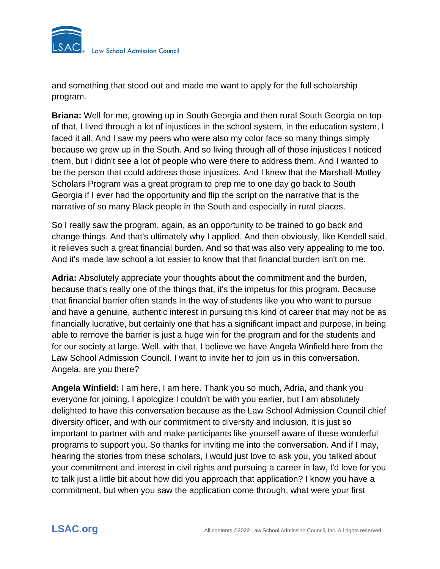

and something that stood out and made me want to apply for the full scholarship program.

**Briana:** Well for me, growing up in South Georgia and then rural South Georgia on top of that, I lived through a lot of injustices in the school system, in the education system, I faced it all. And I saw my peers who were also my color face so many things simply because we grew up in the South. And so living through all of those injustices I noticed them, but I didn't see a lot of people who were there to address them. And I wanted to be the person that could address those injustices. And I knew that the Marshall-Motley Scholars Program was a great program to prep me to one day go back to South Georgia if I ever had the opportunity and flip the script on the narrative that is the narrative of so many Black people in the South and especially in rural places.

So I really saw the program, again, as an opportunity to be trained to go back and change things. And that's ultimately why I applied. And then obviously, like Kendell said, it relieves such a great financial burden. And so that was also very appealing to me too. And it's made law school a lot easier to know that that financial burden isn't on me.

**Adria:** Absolutely appreciate your thoughts about the commitment and the burden, because that's really one of the things that, it's the impetus for this program. Because that financial barrier often stands in the way of students like you who want to pursue and have a genuine, authentic interest in pursuing this kind of career that may not be as financially lucrative, but certainly one that has a significant impact and purpose, in being able to remove the barrier is just a huge win for the program and for the students and for our society at large. Well. with that, I believe we have Angela Winfield here from the Law School Admission Council. I want to invite her to join us in this conversation. Angela, are you there?

**Angela Winfield:** I am here, I am here. Thank you so much, Adria, and thank you everyone for joining. I apologize I couldn't be with you earlier, but I am absolutely delighted to have this conversation because as the Law School Admission Council chief diversity officer, and with our commitment to diversity and inclusion, it is just so important to partner with and make participants like yourself aware of these wonderful programs to support you. So thanks for inviting me into the conversation. And if I may, hearing the stories from these scholars, I would just love to ask you, you talked about your commitment and interest in civil rights and pursuing a career in law, I'd love for you to talk just a little bit about how did you approach that application? I know you have a commitment, but when you saw the application come through, what were your first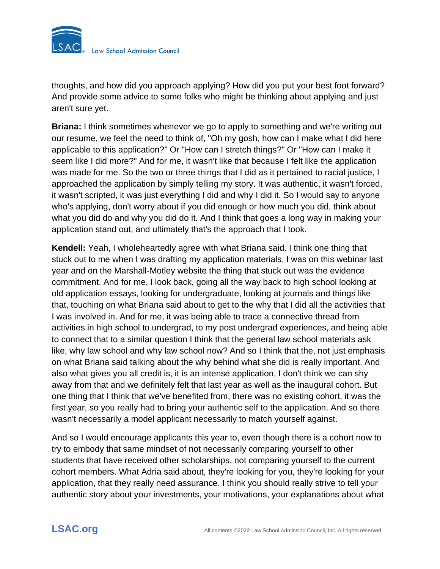

thoughts, and how did you approach applying? How did you put your best foot forward? And provide some advice to some folks who might be thinking about applying and just aren't sure yet.

**Briana:** I think sometimes whenever we go to apply to something and we're writing out our resume, we feel the need to think of, "Oh my gosh, how can I make what I did here applicable to this application?" Or "How can I stretch things?" Or "How can I make it seem like I did more?" And for me, it wasn't like that because I felt like the application was made for me. So the two or three things that I did as it pertained to racial justice, I approached the application by simply telling my story. It was authentic, it wasn't forced, it wasn't scripted, it was just everything I did and why I did it. So I would say to anyone who's applying, don't worry about if you did enough or how much you did, think about what you did do and why you did do it. And I think that goes a long way in making your application stand out, and ultimately that's the approach that I took.

**Kendell:** Yeah, I wholeheartedly agree with what Briana said. I think one thing that stuck out to me when I was drafting my application materials, I was on this webinar last year and on the Marshall-Motley website the thing that stuck out was the evidence commitment. And for me, I look back, going all the way back to high school looking at old application essays, looking for undergraduate, looking at journals and things like that, touching on what Briana said about to get to the why that I did all the activities that I was involved in. And for me, it was being able to trace a connective thread from activities in high school to undergrad, to my post undergrad experiences, and being able to connect that to a similar question I think that the general law school materials ask like, why law school and why law school now? And so I think that the, not just emphasis on what Briana said talking about the why behind what she did is really important. And also what gives you all credit is, it is an intense application, I don't think we can shy away from that and we definitely felt that last year as well as the inaugural cohort. But one thing that I think that we've benefited from, there was no existing cohort, it was the first year, so you really had to bring your authentic self to the application. And so there wasn't necessarily a model applicant necessarily to match yourself against.

And so I would encourage applicants this year to, even though there is a cohort now to try to embody that same mindset of not necessarily comparing yourself to other students that have received other scholarships, not comparing yourself to the current cohort members. What Adria said about, they're looking for you, they're looking for your application, that they really need assurance. I think you should really strive to tell your authentic story about your investments, your motivations, your explanations about what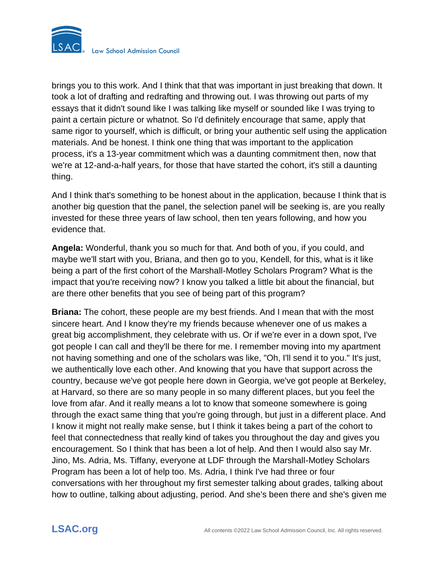

brings you to this work. And I think that that was important in just breaking that down. It took a lot of drafting and redrafting and throwing out. I was throwing out parts of my essays that it didn't sound like I was talking like myself or sounded like I was trying to paint a certain picture or whatnot. So I'd definitely encourage that same, apply that same rigor to yourself, which is difficult, or bring your authentic self using the application materials. And be honest. I think one thing that was important to the application process, it's a 13-year commitment which was a daunting commitment then, now that we're at 12-and-a-half years, for those that have started the cohort, it's still a daunting thing.

And I think that's something to be honest about in the application, because I think that is another big question that the panel, the selection panel will be seeking is, are you really invested for these three years of law school, then ten years following, and how you evidence that.

**Angela:** Wonderful, thank you so much for that. And both of you, if you could, and maybe we'll start with you, Briana, and then go to you, Kendell, for this, what is it like being a part of the first cohort of the Marshall-Motley Scholars Program? What is the impact that you're receiving now? I know you talked a little bit about the financial, but are there other benefits that you see of being part of this program?

**Briana:** The cohort, these people are my best friends. And I mean that with the most sincere heart. And I know they're my friends because whenever one of us makes a great big accomplishment, they celebrate with us. Or if we're ever in a down spot, I've got people I can call and they'll be there for me. I remember moving into my apartment not having something and one of the scholars was like, "Oh, I'll send it to you." It's just, we authentically love each other. And knowing that you have that support across the country, because we've got people here down in Georgia, we've got people at Berkeley, at Harvard, so there are so many people in so many different places, but you feel the love from afar. And it really means a lot to know that someone somewhere is going through the exact same thing that you're going through, but just in a different place. And I know it might not really make sense, but I think it takes being a part of the cohort to feel that connectedness that really kind of takes you throughout the day and gives you encouragement. So I think that has been a lot of help. And then I would also say Mr. Jino, Ms. Adria, Ms. Tiffany, everyone at LDF through the Marshall-Motley Scholars Program has been a lot of help too. Ms. Adria, I think I've had three or four conversations with her throughout my first semester talking about grades, talking about how to outline, talking about adjusting, period. And she's been there and she's given me

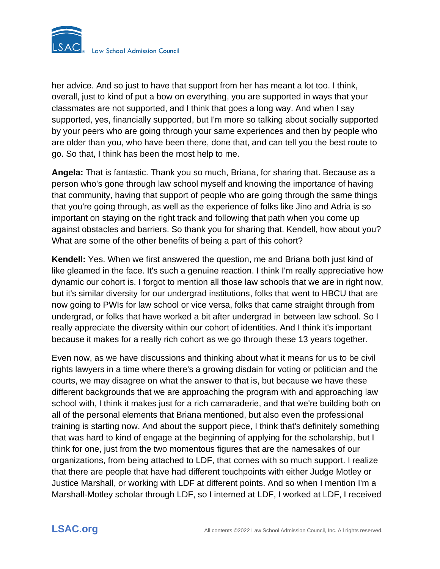

her advice. And so just to have that support from her has meant a lot too. I think, overall, just to kind of put a bow on everything, you are supported in ways that your classmates are not supported, and I think that goes a long way. And when I say supported, yes, financially supported, but I'm more so talking about socially supported by your peers who are going through your same experiences and then by people who are older than you, who have been there, done that, and can tell you the best route to go. So that, I think has been the most help to me.

**Angela:** That is fantastic. Thank you so much, Briana, for sharing that. Because as a person who's gone through law school myself and knowing the importance of having that community, having that support of people who are going through the same things that you're going through, as well as the experience of folks like Jino and Adria is so important on staying on the right track and following that path when you come up against obstacles and barriers. So thank you for sharing that. Kendell, how about you? What are some of the other benefits of being a part of this cohort?

**Kendell:** Yes. When we first answered the question, me and Briana both just kind of like gleamed in the face. It's such a genuine reaction. I think I'm really appreciative how dynamic our cohort is. I forgot to mention all those law schools that we are in right now, but it's similar diversity for our undergrad institutions, folks that went to HBCU that are now going to PWIs for law school or vice versa, folks that came straight through from undergrad, or folks that have worked a bit after undergrad in between law school. So I really appreciate the diversity within our cohort of identities. And I think it's important because it makes for a really rich cohort as we go through these 13 years together.

Even now, as we have discussions and thinking about what it means for us to be civil rights lawyers in a time where there's a growing disdain for voting or politician and the courts, we may disagree on what the answer to that is, but because we have these different backgrounds that we are approaching the program with and approaching law school with, I think it makes just for a rich camaraderie, and that we're building both on all of the personal elements that Briana mentioned, but also even the professional training is starting now. And about the support piece, I think that's definitely something that was hard to kind of engage at the beginning of applying for the scholarship, but I think for one, just from the two momentous figures that are the namesakes of our organizations, from being attached to LDF, that comes with so much support. I realize that there are people that have had different touchpoints with either Judge Motley or Justice Marshall, or working with LDF at different points. And so when I mention I'm a Marshall-Motley scholar through LDF, so I interned at LDF, I worked at LDF, I received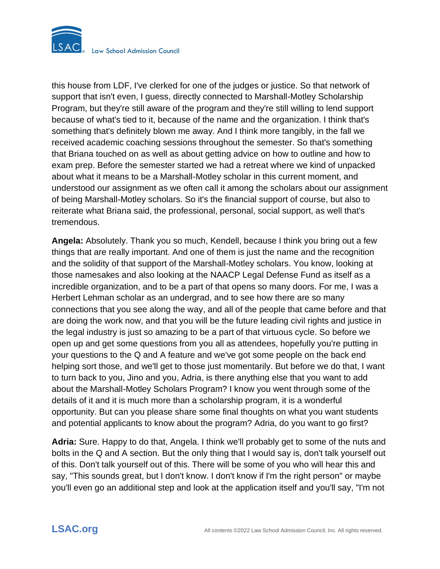

this house from LDF, I've clerked for one of the judges or justice. So that network of support that isn't even, I guess, directly connected to Marshall-Motley Scholarship Program, but they're still aware of the program and they're still willing to lend support because of what's tied to it, because of the name and the organization. I think that's something that's definitely blown me away. And I think more tangibly, in the fall we received academic coaching sessions throughout the semester. So that's something that Briana touched on as well as about getting advice on how to outline and how to exam prep. Before the semester started we had a retreat where we kind of unpacked about what it means to be a Marshall-Motley scholar in this current moment, and understood our assignment as we often call it among the scholars about our assignment of being Marshall-Motley scholars. So it's the financial support of course, but also to reiterate what Briana said, the professional, personal, social support, as well that's tremendous.

**Angela:** Absolutely. Thank you so much, Kendell, because I think you bring out a few things that are really important. And one of them is just the name and the recognition and the solidity of that support of the Marshall-Motley scholars. You know, looking at those namesakes and also looking at the NAACP Legal Defense Fund as itself as a incredible organization, and to be a part of that opens so many doors. For me, I was a Herbert Lehman scholar as an undergrad, and to see how there are so many connections that you see along the way, and all of the people that came before and that are doing the work now, and that you will be the future leading civil rights and justice in the legal industry is just so amazing to be a part of that virtuous cycle. So before we open up and get some questions from you all as attendees, hopefully you're putting in your questions to the Q and A feature and we've got some people on the back end helping sort those, and we'll get to those just momentarily. But before we do that, I want to turn back to you, Jino and you, Adria, is there anything else that you want to add about the Marshall-Motley Scholars Program? I know you went through some of the details of it and it is much more than a scholarship program, it is a wonderful opportunity. But can you please share some final thoughts on what you want students and potential applicants to know about the program? Adria, do you want to go first?

**Adria:** Sure. Happy to do that, Angela. I think we'll probably get to some of the nuts and bolts in the Q and A section. But the only thing that I would say is, don't talk yourself out of this. Don't talk yourself out of this. There will be some of you who will hear this and say, "This sounds great, but I don't know. I don't know if I'm the right person" or maybe you'll even go an additional step and look at the application itself and you'll say, "I'm not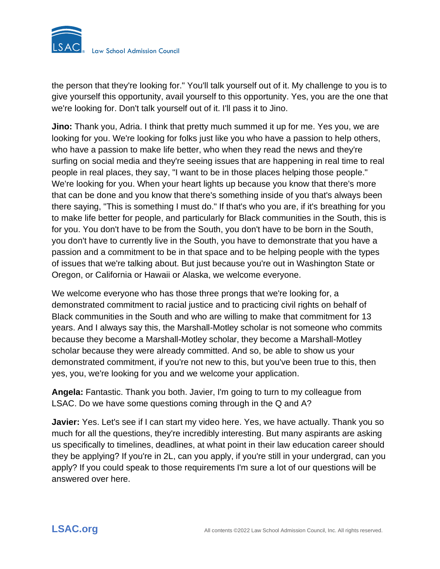

the person that they're looking for." You'll talk yourself out of it. My challenge to you is to give yourself this opportunity, avail yourself to this opportunity. Yes, you are the one that we're looking for. Don't talk yourself out of it. I'll pass it to Jino.

**Jino:** Thank you, Adria. I think that pretty much summed it up for me. Yes you, we are looking for you. We're looking for folks just like you who have a passion to help others, who have a passion to make life better, who when they read the news and they're surfing on social media and they're seeing issues that are happening in real time to real people in real places, they say, "I want to be in those places helping those people." We're looking for you. When your heart lights up because you know that there's more that can be done and you know that there's something inside of you that's always been there saying, "This is something I must do." If that's who you are, if it's breathing for you to make life better for people, and particularly for Black communities in the South, this is for you. You don't have to be from the South, you don't have to be born in the South, you don't have to currently live in the South, you have to demonstrate that you have a passion and a commitment to be in that space and to be helping people with the types of issues that we're talking about. But just because you're out in Washington State or Oregon, or California or Hawaii or Alaska, we welcome everyone.

We welcome everyone who has those three prongs that we're looking for, a demonstrated commitment to racial justice and to practicing civil rights on behalf of Black communities in the South and who are willing to make that commitment for 13 years. And I always say this, the Marshall-Motley scholar is not someone who commits because they become a Marshall-Motley scholar, they become a Marshall-Motley scholar because they were already committed. And so, be able to show us your demonstrated commitment, if you're not new to this, but you've been true to this, then yes, you, we're looking for you and we welcome your application.

**Angela:** Fantastic. Thank you both. Javier, I'm going to turn to my colleague from LSAC. Do we have some questions coming through in the Q and A?

**Javier:** Yes. Let's see if I can start my video here. Yes, we have actually. Thank you so much for all the questions, they're incredibly interesting. But many aspirants are asking us specifically to timelines, deadlines, at what point in their law education career should they be applying? If you're in 2L, can you apply, if you're still in your undergrad, can you apply? If you could speak to those requirements I'm sure a lot of our questions will be answered over here.

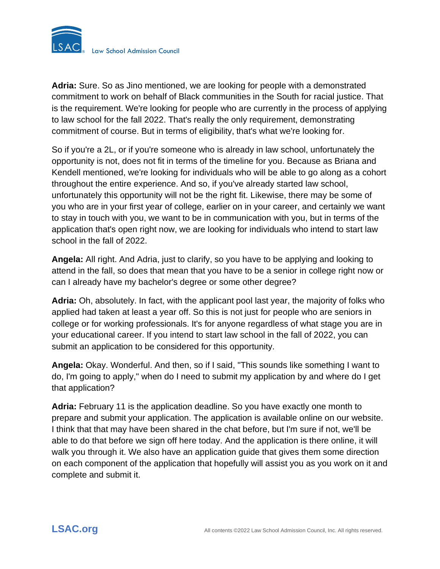

**Adria:** Sure. So as Jino mentioned, we are looking for people with a demonstrated commitment to work on behalf of Black communities in the South for racial justice. That is the requirement. We're looking for people who are currently in the process of applying to law school for the fall 2022. That's really the only requirement, demonstrating commitment of course. But in terms of eligibility, that's what we're looking for.

So if you're a 2L, or if you're someone who is already in law school, unfortunately the opportunity is not, does not fit in terms of the timeline for you. Because as Briana and Kendell mentioned, we're looking for individuals who will be able to go along as a cohort throughout the entire experience. And so, if you've already started law school, unfortunately this opportunity will not be the right fit. Likewise, there may be some of you who are in your first year of college, earlier on in your career, and certainly we want to stay in touch with you, we want to be in communication with you, but in terms of the application that's open right now, we are looking for individuals who intend to start law school in the fall of 2022.

**Angela:** All right. And Adria, just to clarify, so you have to be applying and looking to attend in the fall, so does that mean that you have to be a senior in college right now or can I already have my bachelor's degree or some other degree?

**Adria:** Oh, absolutely. In fact, with the applicant pool last year, the majority of folks who applied had taken at least a year off. So this is not just for people who are seniors in college or for working professionals. It's for anyone regardless of what stage you are in your educational career. If you intend to start law school in the fall of 2022, you can submit an application to be considered for this opportunity.

**Angela:** Okay. Wonderful. And then, so if I said, "This sounds like something I want to do, I'm going to apply," when do I need to submit my application by and where do I get that application?

**Adria:** February 11 is the application deadline. So you have exactly one month to prepare and submit your application. The application is available online on our website. I think that that may have been shared in the chat before, but I'm sure if not, we'll be able to do that before we sign off here today. And the application is there online, it will walk you through it. We also have an application guide that gives them some direction on each component of the application that hopefully will assist you as you work on it and complete and submit it.

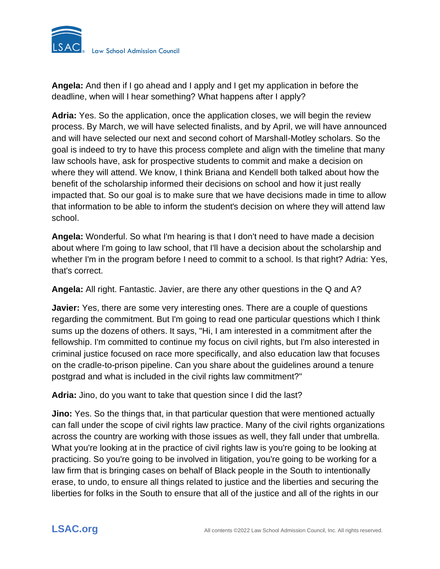

**Angela:** And then if I go ahead and I apply and I get my application in before the deadline, when will I hear something? What happens after I apply?

**Adria:** Yes. So the application, once the application closes, we will begin the review process. By March, we will have selected finalists, and by April, we will have announced and will have selected our next and second cohort of Marshall-Motley scholars. So the goal is indeed to try to have this process complete and align with the timeline that many law schools have, ask for prospective students to commit and make a decision on where they will attend. We know, I think Briana and Kendell both talked about how the benefit of the scholarship informed their decisions on school and how it just really impacted that. So our goal is to make sure that we have decisions made in time to allow that information to be able to inform the student's decision on where they will attend law school.

**Angela:** Wonderful. So what I'm hearing is that I don't need to have made a decision about where I'm going to law school, that I'll have a decision about the scholarship and whether I'm in the program before I need to commit to a school. Is that right? Adria: Yes, that's correct.

**Angela:** All right. Fantastic. Javier, are there any other questions in the Q and A?

**Javier:** Yes, there are some very interesting ones. There are a couple of questions regarding the commitment. But I'm going to read one particular questions which I think sums up the dozens of others. It says, "Hi, I am interested in a commitment after the fellowship. I'm committed to continue my focus on civil rights, but I'm also interested in criminal justice focused on race more specifically, and also education law that focuses on the cradle-to-prison pipeline. Can you share about the guidelines around a tenure postgrad and what is included in the civil rights law commitment?"

**Adria:** Jino, do you want to take that question since I did the last?

**Jino:** Yes. So the things that, in that particular question that were mentioned actually can fall under the scope of civil rights law practice. Many of the civil rights organizations across the country are working with those issues as well, they fall under that umbrella. What you're looking at in the practice of civil rights law is you're going to be looking at practicing. So you're going to be involved in litigation, you're going to be working for a law firm that is bringing cases on behalf of Black people in the South to intentionally erase, to undo, to ensure all things related to justice and the liberties and securing the liberties for folks in the South to ensure that all of the justice and all of the rights in our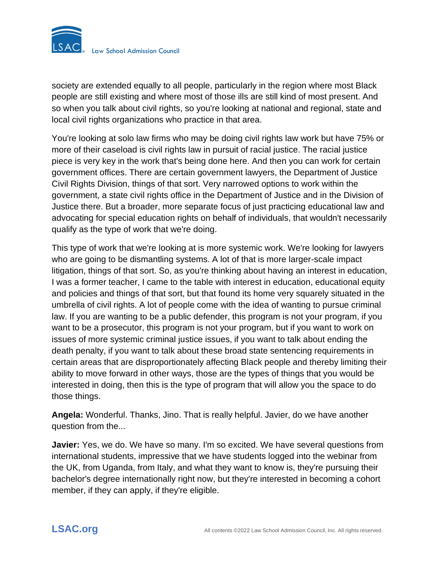

society are extended equally to all people, particularly in the region where most Black people are still existing and where most of those ills are still kind of most present. And so when you talk about civil rights, so you're looking at national and regional, state and local civil rights organizations who practice in that area.

You're looking at solo law firms who may be doing civil rights law work but have 75% or more of their caseload is civil rights law in pursuit of racial justice. The racial justice piece is very key in the work that's being done here. And then you can work for certain government offices. There are certain government lawyers, the Department of Justice Civil Rights Division, things of that sort. Very narrowed options to work within the government, a state civil rights office in the Department of Justice and in the Division of Justice there. But a broader, more separate focus of just practicing educational law and advocating for special education rights on behalf of individuals, that wouldn't necessarily qualify as the type of work that we're doing.

This type of work that we're looking at is more systemic work. We're looking for lawyers who are going to be dismantling systems. A lot of that is more larger-scale impact litigation, things of that sort. So, as you're thinking about having an interest in education, I was a former teacher, I came to the table with interest in education, educational equity and policies and things of that sort, but that found its home very squarely situated in the umbrella of civil rights. A lot of people come with the idea of wanting to pursue criminal law. If you are wanting to be a public defender, this program is not your program, if you want to be a prosecutor, this program is not your program, but if you want to work on issues of more systemic criminal justice issues, if you want to talk about ending the death penalty, if you want to talk about these broad state sentencing requirements in certain areas that are disproportionately affecting Black people and thereby limiting their ability to move forward in other ways, those are the types of things that you would be interested in doing, then this is the type of program that will allow you the space to do those things.

**Angela:** Wonderful. Thanks, Jino. That is really helpful. Javier, do we have another question from the...

**Javier:** Yes, we do. We have so many. I'm so excited. We have several questions from international students, impressive that we have students logged into the webinar from the UK, from Uganda, from Italy, and what they want to know is, they're pursuing their bachelor's degree internationally right now, but they're interested in becoming a cohort member, if they can apply, if they're eligible.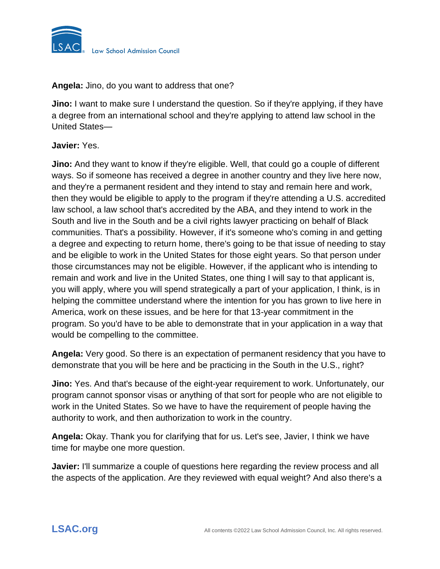

**Angela:** Jino, do you want to address that one?

**Jino:** I want to make sure I understand the question. So if they're applying, if they have a degree from an international school and they're applying to attend law school in the United States—

### **Javier:** Yes.

**Jino:** And they want to know if they're eligible. Well, that could go a couple of different ways. So if someone has received a degree in another country and they live here now, and they're a permanent resident and they intend to stay and remain here and work, then they would be eligible to apply to the program if they're attending a U.S. accredited law school, a law school that's accredited by the ABA, and they intend to work in the South and live in the South and be a civil rights lawyer practicing on behalf of Black communities. That's a possibility. However, if it's someone who's coming in and getting a degree and expecting to return home, there's going to be that issue of needing to stay and be eligible to work in the United States for those eight years. So that person under those circumstances may not be eligible. However, if the applicant who is intending to remain and work and live in the United States, one thing I will say to that applicant is, you will apply, where you will spend strategically a part of your application, I think, is in helping the committee understand where the intention for you has grown to live here in America, work on these issues, and be here for that 13-year commitment in the program. So you'd have to be able to demonstrate that in your application in a way that would be compelling to the committee.

**Angela:** Very good. So there is an expectation of permanent residency that you have to demonstrate that you will be here and be practicing in the South in the U.S., right?

**Jino:** Yes. And that's because of the eight-year requirement to work. Unfortunately, our program cannot sponsor visas or anything of that sort for people who are not eligible to work in the United States. So we have to have the requirement of people having the authority to work, and then authorization to work in the country.

**Angela:** Okay. Thank you for clarifying that for us. Let's see, Javier, I think we have time for maybe one more question.

**Javier:** I'll summarize a couple of questions here regarding the review process and all the aspects of the application. Are they reviewed with equal weight? And also there's a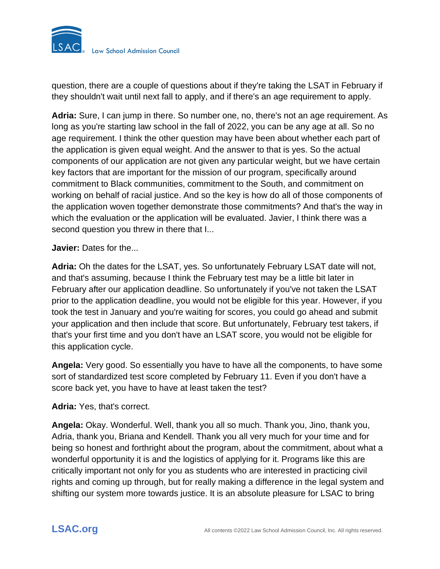

question, there are a couple of questions about if they're taking the LSAT in February if they shouldn't wait until next fall to apply, and if there's an age requirement to apply.

**Adria:** Sure, I can jump in there. So number one, no, there's not an age requirement. As long as you're starting law school in the fall of 2022, you can be any age at all. So no age requirement. I think the other question may have been about whether each part of the application is given equal weight. And the answer to that is yes. So the actual components of our application are not given any particular weight, but we have certain key factors that are important for the mission of our program, specifically around commitment to Black communities, commitment to the South, and commitment on working on behalf of racial justice. And so the key is how do all of those components of the application woven together demonstrate those commitments? And that's the way in which the evaluation or the application will be evaluated. Javier, I think there was a second question you threw in there that I...

### **Javier:** Dates for the...

**Adria:** Oh the dates for the LSAT, yes. So unfortunately February LSAT date will not, and that's assuming, because I think the February test may be a little bit later in February after our application deadline. So unfortunately if you've not taken the LSAT prior to the application deadline, you would not be eligible for this year. However, if you took the test in January and you're waiting for scores, you could go ahead and submit your application and then include that score. But unfortunately, February test takers, if that's your first time and you don't have an LSAT score, you would not be eligible for this application cycle.

**Angela:** Very good. So essentially you have to have all the components, to have some sort of standardized test score completed by February 11. Even if you don't have a score back yet, you have to have at least taken the test?

#### **Adria:** Yes, that's correct.

**Angela:** Okay. Wonderful. Well, thank you all so much. Thank you, Jino, thank you, Adria, thank you, Briana and Kendell. Thank you all very much for your time and for being so honest and forthright about the program, about the commitment, about what a wonderful opportunity it is and the logistics of applying for it. Programs like this are critically important not only for you as students who are interested in practicing civil rights and coming up through, but for really making a difference in the legal system and shifting our system more towards justice. It is an absolute pleasure for LSAC to bring